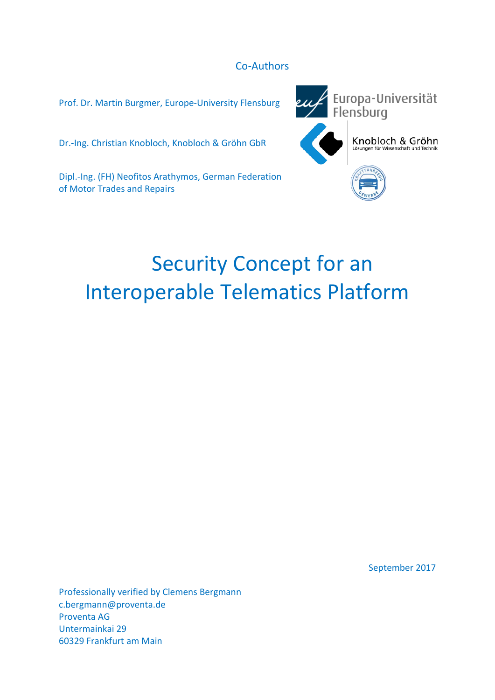# Co-Authors

Prof. Dr. Martin Burgmer, Europe-University Flensburg

Dr.-Ing. Christian Knobloch, Knobloch & Gröhn GbR

Dipl.-Ing. (FH) Neofitos Arathymos, German Federation of Motor Trades and Repairs



# Security Concept for an Interoperable Telematics Platform

September 2017

Professionally verified by Clemens Bergmann c.bergmann@proventa.de Proventa AG Untermainkai 29 60329 Frankfurt am Main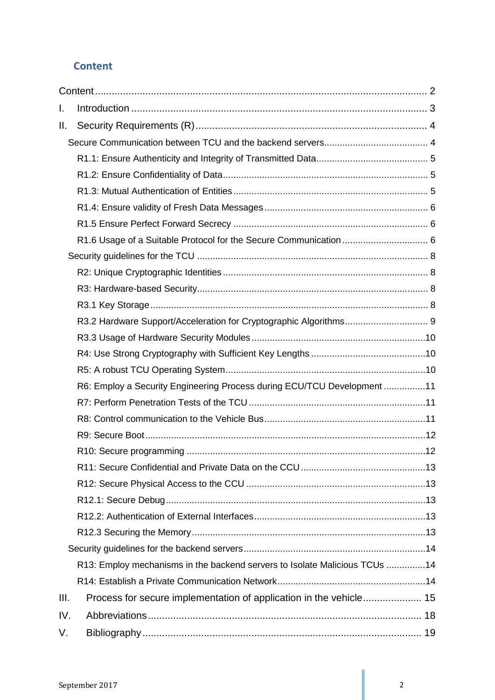# <span id="page-1-0"></span>**Content**

| L.   |                                                                            |  |
|------|----------------------------------------------------------------------------|--|
| Ⅱ.   |                                                                            |  |
|      |                                                                            |  |
|      |                                                                            |  |
|      |                                                                            |  |
|      |                                                                            |  |
|      |                                                                            |  |
|      |                                                                            |  |
|      |                                                                            |  |
|      |                                                                            |  |
|      |                                                                            |  |
|      |                                                                            |  |
|      |                                                                            |  |
|      |                                                                            |  |
|      |                                                                            |  |
|      |                                                                            |  |
|      |                                                                            |  |
|      | R6: Employ a Security Engineering Process during ECU/TCU Development11     |  |
|      |                                                                            |  |
|      |                                                                            |  |
|      |                                                                            |  |
|      |                                                                            |  |
|      |                                                                            |  |
|      |                                                                            |  |
|      |                                                                            |  |
|      |                                                                            |  |
|      |                                                                            |  |
|      |                                                                            |  |
|      | R13: Employ mechanisms in the backend servers to Isolate Malicious TCUs 14 |  |
|      |                                                                            |  |
| III. |                                                                            |  |
| IV.  |                                                                            |  |
| V.   |                                                                            |  |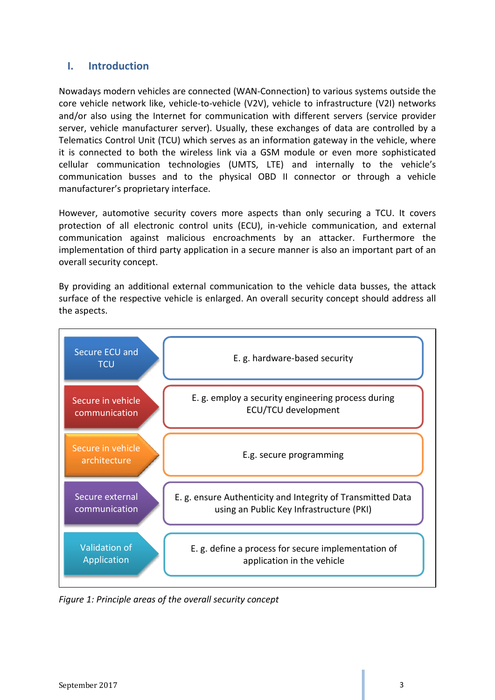# <span id="page-2-0"></span>**I. Introduction**

Nowadays modern vehicles are connected (WAN-Connection) to various systems outside the core vehicle network like, vehicle-to-vehicle (V2V), vehicle to infrastructure (V2I) networks and/or also using the Internet for communication with different servers (service provider server, vehicle manufacturer server). Usually, these exchanges of data are controlled by a Telematics Control Unit (TCU) which serves as an information gateway in the vehicle, where it is connected to both the wireless link via a GSM module or even more sophisticated cellular communication technologies (UMTS, LTE) and internally to the vehicle's communication busses and to the physical OBD II connector or through a vehicle manufacturer's proprietary interface.

However, automotive security covers more aspects than only securing a TCU. It covers protection of all electronic control units (ECU), in-vehicle communication, and external communication against malicious encroachments by an attacker. Furthermore the implementation of third party application in a secure manner is also an important part of an overall security concept.

By providing an additional external communication to the vehicle data busses, the attack surface of the respective vehicle is enlarged. An overall security concept should address all the aspects.



*Figure 1: Principle areas of the overall security concept*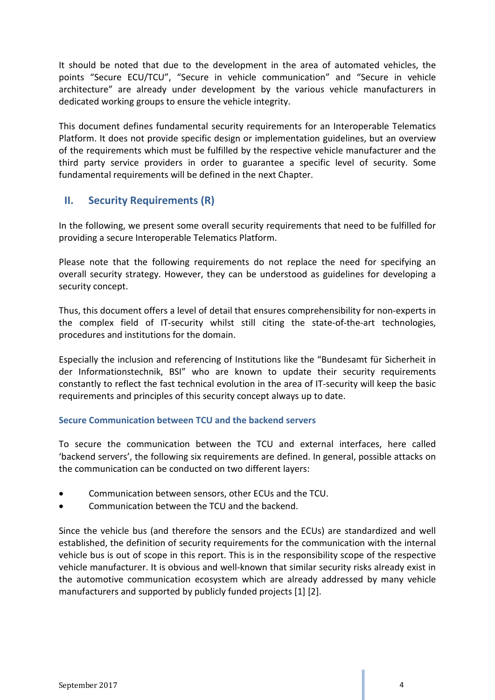It should be noted that due to the development in the area of automated vehicles, the points "Secure ECU/TCU", "Secure in vehicle communication" and "Secure in vehicle architecture" are already under development by the various vehicle manufacturers in dedicated working groups to ensure the vehicle integrity.

This document defines fundamental security requirements for an Interoperable Telematics Platform. It does not provide specific design or implementation guidelines, but an overview of the requirements which must be fulfilled by the respective vehicle manufacturer and the third party service providers in order to guarantee a specific level of security. Some fundamental requirements will be defined in the next Chapter.

# <span id="page-3-0"></span>**II. Security Requirements (R)**

In the following, we present some overall security requirements that need to be fulfilled for providing a secure Interoperable Telematics Platform.

Please note that the following requirements do not replace the need for specifying an overall security strategy. However, they can be understood as guidelines for developing a security concept.

Thus, this document offers a level of detail that ensures comprehensibility for non-experts in the complex field of IT-security whilst still citing the state-of-the-art technologies, procedures and institutions for the domain.

Especially the inclusion and referencing of Institutions like the "Bundesamt für Sicherheit in der Informationstechnik, BSI" who are known to update their security requirements constantly to reflect the fast technical evolution in the area of IT-security will keep the basic requirements and principles of this security concept always up to date.

## <span id="page-3-1"></span>**Secure Communication between TCU and the backend servers**

To secure the communication between the TCU and external interfaces, here called 'backend servers', the following six requirements are defined. In general, possible attacks on the communication can be conducted on two different layers:

- Communication between sensors, other ECUs and the TCU.
- Communication between the TCU and the backend.

Since the vehicle bus (and therefore the sensors and the ECUs) are standardized and well established, the definition of security requirements for the communication with the internal vehicle bus is out of scope in this report. This is in the responsibility scope of the respective vehicle manufacturer. It is obvious and well-known that similar security risks already exist in the automotive communication ecosystem which are already addressed by many vehicle manufacturers and supported by publicly funded projects [1] [2].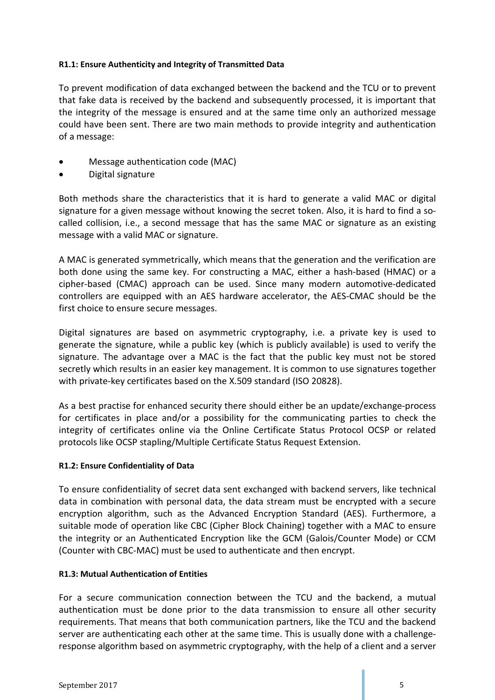#### <span id="page-4-0"></span>**R1.1: Ensure Authenticity and Integrity of Transmitted Data**

To prevent modification of data exchanged between the backend and the TCU or to prevent that fake data is received by the backend and subsequently processed, it is important that the integrity of the message is ensured and at the same time only an authorized message could have been sent. There are two main methods to provide integrity and authentication of a message:

- Message authentication code (MAC)
- Digital signature

Both methods share the characteristics that it is hard to generate a valid MAC or digital signature for a given message without knowing the secret token. Also, it is hard to find a socalled collision, i.e., a second message that has the same MAC or signature as an existing message with a valid MAC or signature.

A MAC is generated symmetrically, which means that the generation and the verification are both done using the same key. For constructing a MAC, either a hash-based (HMAC) or a cipher-based (CMAC) approach can be used. Since many modern automotive-dedicated controllers are equipped with an AES hardware accelerator, the AES-CMAC should be the first choice to ensure secure messages.

Digital signatures are based on asymmetric cryptography, i.e. a private key is used to generate the signature, while a public key (which is publicly available) is used to verify the signature. The advantage over a MAC is the fact that the public key must not be stored secretly which results in an easier key management. It is common to use signatures together with private-key certificates based on the X.509 standard (ISO 20828).

As a best practise for enhanced security there should either be an update/exchange-process for certificates in place and/or a possibility for the communicating parties to check the integrity of certificates online via the Online Certificate Status Protocol OCSP or related protocols like OCSP stapling/Multiple Certificate Status Request Extension.

#### <span id="page-4-1"></span>**R1.2: Ensure Confidentiality of Data**

To ensure confidentiality of secret data sent exchanged with backend servers, like technical data in combination with personal data, the data stream must be encrypted with a secure encryption algorithm, such as the Advanced Encryption Standard (AES). Furthermore, a suitable mode of operation like CBC (Cipher Block Chaining) together with a MAC to ensure the integrity or an Authenticated Encryption like the GCM (Galois/Counter Mode) or CCM (Counter with CBC-MAC) must be used to authenticate and then encrypt.

#### <span id="page-4-2"></span>**R1.3: Mutual Authentication of Entities**

For a secure communication connection between the TCU and the backend, a mutual authentication must be done prior to the data transmission to ensure all other security requirements. That means that both communication partners, like the TCU and the backend server are authenticating each other at the same time. This is usually done with a challengeresponse algorithm based on asymmetric cryptography, with the help of a client and a server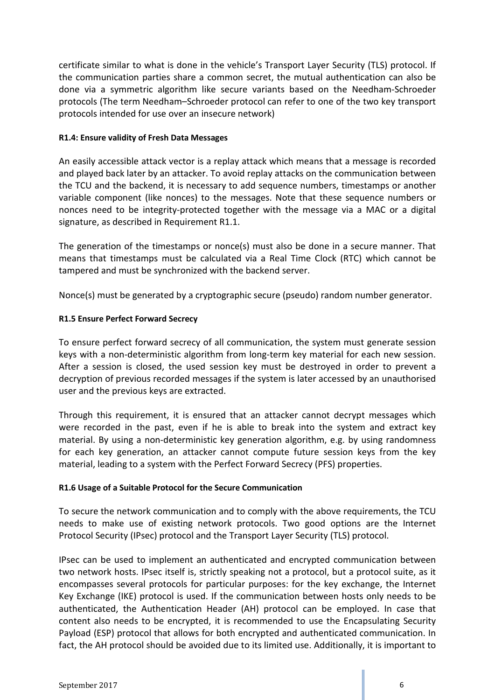certificate similar to what is done in the vehicle's Transport Layer Security (TLS) protocol. If the communication parties share a common secret, the mutual authentication can also be done via a symmetric algorithm like secure variants based on the Needham-Schroeder protocols (The term Needham–Schroeder protocol can refer to one of the two key transport protocols intended for use over an insecure network)

#### <span id="page-5-0"></span>**R1.4: Ensure validity of Fresh Data Messages**

An easily accessible attack vector is a replay attack which means that a message is recorded and played back later by an attacker. To avoid replay attacks on the communication between the TCU and the backend, it is necessary to add sequence numbers, timestamps or another variable component (like nonces) to the messages. Note that these sequence numbers or nonces need to be integrity-protected together with the message via a MAC or a digital signature, as described in Requirement R1.1.

The generation of the timestamps or nonce(s) must also be done in a secure manner. That means that timestamps must be calculated via a Real Time Clock (RTC) which cannot be tampered and must be synchronized with the backend server.

Nonce(s) must be generated by a cryptographic secure (pseudo) random number generator.

#### <span id="page-5-1"></span>**R1.5 Ensure Perfect Forward Secrecy**

To ensure perfect forward secrecy of all communication, the system must generate session keys with a non-deterministic algorithm from long-term key material for each new session. After a session is closed, the used session key must be destroyed in order to prevent a decryption of previous recorded messages if the system is later accessed by an unauthorised user and the previous keys are extracted.

Through this requirement, it is ensured that an attacker cannot decrypt messages which were recorded in the past, even if he is able to break into the system and extract key material. By using a non-deterministic key generation algorithm, e.g. by using randomness for each key generation, an attacker cannot compute future session keys from the key material, leading to a system with the Perfect Forward Secrecy (PFS) properties.

#### <span id="page-5-2"></span>**R1.6 Usage of a Suitable Protocol for the Secure Communication**

To secure the network communication and to comply with the above requirements, the TCU needs to make use of existing network protocols. Two good options are the Internet Protocol Security (IPsec) protocol and the Transport Layer Security (TLS) protocol.

IPsec can be used to implement an authenticated and encrypted communication between two network hosts. IPsec itself is, strictly speaking not a protocol, but a protocol suite, as it encompasses several protocols for particular purposes: for the key exchange, the Internet Key Exchange (IKE) protocol is used. If the communication between hosts only needs to be authenticated, the Authentication Header (AH) protocol can be employed. In case that content also needs to be encrypted, it is recommended to use the Encapsulating Security Payload (ESP) protocol that allows for both encrypted and authenticated communication. In fact, the AH protocol should be avoided due to its limited use. Additionally, it is important to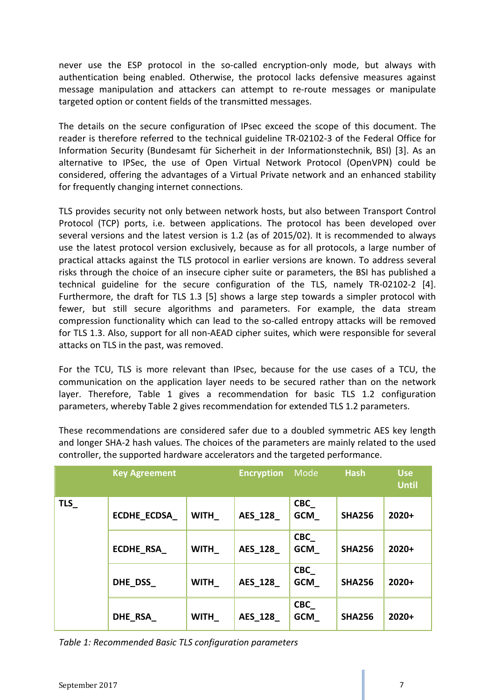never use the ESP protocol in the so-called encryption-only mode, but always with authentication being enabled. Otherwise, the protocol lacks defensive measures against message manipulation and attackers can attempt to re-route messages or manipulate targeted option or content fields of the transmitted messages.

The details on the secure configuration of IPsec exceed the scope of this document. The reader is therefore referred to the technical guideline TR-02102-3 of the Federal Office for Information Security (Bundesamt für Sicherheit in der Informationstechnik, BSI) [3]. As an alternative to IPSec, the use of Open Virtual Network Protocol (OpenVPN) could be considered, offering the advantages of a Virtual Private network and an enhanced stability for frequently changing internet connections.

TLS provides security not only between network hosts, but also between Transport Control Protocol (TCP) ports, i.e. between applications. The protocol has been developed over several versions and the latest version is 1.2 (as of 2015/02). It is recommended to always use the latest protocol version exclusively, because as for all protocols, a large number of practical attacks against the TLS protocol in earlier versions are known. To address several risks through the choice of an insecure cipher suite or parameters, the BSI has published a technical guideline for the secure configuration of the TLS, namely TR-02102-2 [4]. Furthermore, the draft for TLS 1.3 [5] shows a large step towards a simpler protocol with fewer, but still secure algorithms and parameters. For example, the data stream compression functionality which can lead to the so-called entropy attacks will be removed for TLS 1.3. Also, support for all non-AEAD cipher suites, which were responsible for several attacks on TLS in the past, was removed.

For the TCU, TLS is more relevant than IPsec, because for the use cases of a TCU, the communication on the application layer needs to be secured rather than on the network layer. Therefore, Table 1 gives a recommendation for basic TLS 1.2 configuration parameters, whereby Table 2 gives recommendation for extended TLS 1.2 parameters.

|     | <b>Key Agreement</b> |             | <b>Encryption</b> | Mode                     | <b>Hash</b>   | <b>Use</b><br><b>Until</b> |
|-----|----------------------|-------------|-------------------|--------------------------|---------------|----------------------------|
| TLS | <b>ECDHE ECDSA</b>   | <b>WITH</b> | <b>AES 128</b>    | <b>CBC</b><br><b>GCM</b> | <b>SHA256</b> | $2020+$                    |
|     | ECDHE_RSA_           | <b>WITH</b> | <b>AES 128</b>    | CBC<br>GCM               | <b>SHA256</b> | $2020+$                    |
|     | DHE DSS              | <b>WITH</b> | <b>AES 128</b>    | CBC<br><b>GCM</b>        | <b>SHA256</b> | $2020+$                    |
|     | DHE RSA              | <b>WITH</b> | <b>AES 128</b>    | <b>CBC</b><br><b>GCM</b> | <b>SHA256</b> | $2020+$                    |

These recommendations are considered safer due to a doubled symmetric AES key length and longer SHA-2 hash values. The choices of the parameters are mainly related to the used controller, the supported hardware accelerators and the targeted performance.

*Table 1: Recommended Basic TLS configuration parameters*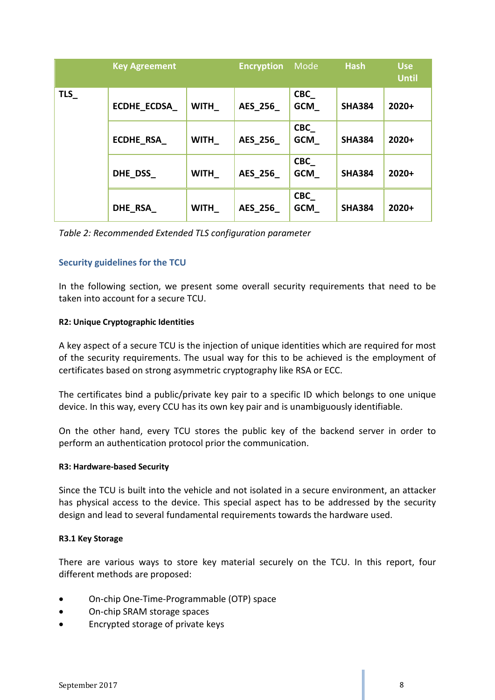|     | <b>Key Agreement</b> |             | <b>Encryption</b> | Mode                     | <b>Hash</b>   | <b>Use</b><br><b>Until</b> |
|-----|----------------------|-------------|-------------------|--------------------------|---------------|----------------------------|
| TLS | <b>ECDHE_ECDSA</b>   | <b>WITH</b> | <b>AES 256</b>    | <b>CBC</b><br><b>GCM</b> | <b>SHA384</b> | 2020+                      |
|     | <b>ECDHE RSA</b>     | <b>WITH</b> | <b>AES 256</b>    | <b>CBC</b><br><b>GCM</b> | <b>SHA384</b> | 2020+                      |
|     | DHE DSS              | <b>WITH</b> | <b>AES 256</b>    | <b>CBC</b><br><b>GCM</b> | <b>SHA384</b> | 2020+                      |
|     | DHE RSA              | <b>WITH</b> | <b>AES 256</b>    | <b>CBC</b><br><b>GCM</b> | <b>SHA384</b> | 2020+                      |

*Table 2: Recommended Extended TLS configuration parameter*

#### <span id="page-7-0"></span>**Security guidelines for the TCU**

In the following section, we present some overall security requirements that need to be taken into account for a secure TCU.

#### <span id="page-7-1"></span>**R2: Unique Cryptographic Identities**

A key aspect of a secure TCU is the injection of unique identities which are required for most of the security requirements. The usual way for this to be achieved is the employment of certificates based on strong asymmetric cryptography like RSA or ECC.

The certificates bind a public/private key pair to a specific ID which belongs to one unique device. In this way, every CCU has its own key pair and is unambiguously identifiable.

On the other hand, every TCU stores the public key of the backend server in order to perform an authentication protocol prior the communication.

#### <span id="page-7-2"></span>**R3: Hardware-based Security**

Since the TCU is built into the vehicle and not isolated in a secure environment, an attacker has physical access to the device. This special aspect has to be addressed by the security design and lead to several fundamental requirements towards the hardware used.

#### <span id="page-7-3"></span>**R3.1 Key Storage**

There are various ways to store key material securely on the TCU. In this report, four different methods are proposed:

- On-chip One-Time-Programmable (OTP) space
- On-chip SRAM storage spaces
- Encrypted storage of private keys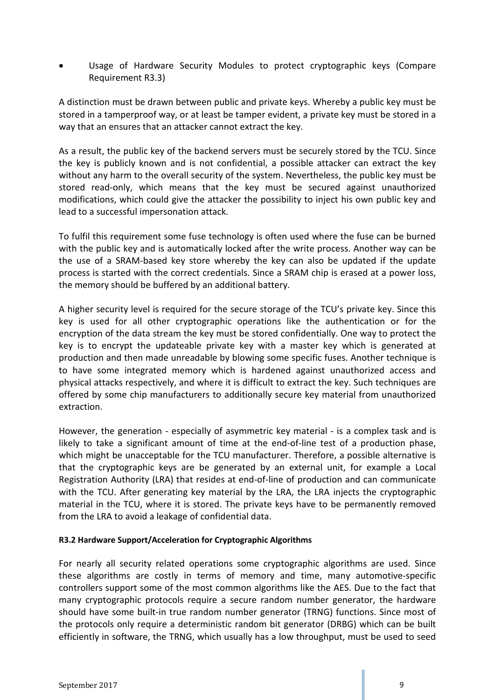• Usage of Hardware Security Modules to protect cryptographic keys (Compare Requirement R3.3)

A distinction must be drawn between public and private keys. Whereby a public key must be stored in a tamperproof way, or at least be tamper evident, a private key must be stored in a way that an ensures that an attacker cannot extract the key.

As a result, the public key of the backend servers must be securely stored by the TCU. Since the key is publicly known and is not confidential, a possible attacker can extract the key without any harm to the overall security of the system. Nevertheless, the public key must be stored read-only, which means that the key must be secured against unauthorized modifications, which could give the attacker the possibility to inject his own public key and lead to a successful impersonation attack.

To fulfil this requirement some fuse technology is often used where the fuse can be burned with the public key and is automatically locked after the write process. Another way can be the use of a SRAM-based key store whereby the key can also be updated if the update process is started with the correct credentials. Since a SRAM chip is erased at a power loss, the memory should be buffered by an additional battery.

A higher security level is required for the secure storage of the TCU's private key. Since this key is used for all other cryptographic operations like the authentication or for the encryption of the data stream the key must be stored confidentially. One way to protect the key is to encrypt the updateable private key with a master key which is generated at production and then made unreadable by blowing some specific fuses. Another technique is to have some integrated memory which is hardened against unauthorized access and physical attacks respectively, and where it is difficult to extract the key. Such techniques are offered by some chip manufacturers to additionally secure key material from unauthorized extraction.

However, the generation - especially of asymmetric key material - is a complex task and is likely to take a significant amount of time at the end-of-line test of a production phase, which might be unacceptable for the TCU manufacturer. Therefore, a possible alternative is that the cryptographic keys are be generated by an external unit, for example a Local Registration Authority (LRA) that resides at end-of-line of production and can communicate with the TCU. After generating key material by the LRA, the LRA injects the cryptographic material in the TCU, where it is stored. The private keys have to be permanently removed from the LRA to avoid a leakage of confidential data.

#### <span id="page-8-0"></span>**R3.2 Hardware Support/Acceleration for Cryptographic Algorithms**

For nearly all security related operations some cryptographic algorithms are used. Since these algorithms are costly in terms of memory and time, many automotive-specific controllers support some of the most common algorithms like the AES. Due to the fact that many cryptographic protocols require a secure random number generator, the hardware should have some built-in true random number generator (TRNG) functions. Since most of the protocols only require a deterministic random bit generator (DRBG) which can be built efficiently in software, the TRNG, which usually has a low throughput, must be used to seed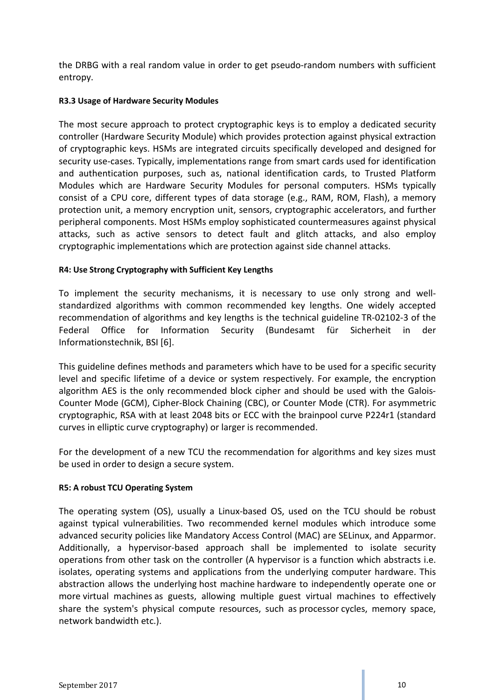the DRBG with a real random value in order to get pseudo-random numbers with sufficient entropy.

#### <span id="page-9-0"></span>**R3.3 Usage of Hardware Security Modules**

The most secure approach to protect cryptographic keys is to employ a dedicated security controller (Hardware Security Module) which provides protection against physical extraction of cryptographic keys. HSMs are integrated circuits specifically developed and designed for security use-cases. Typically, implementations range from smart cards used for identification and authentication purposes, such as, national identification cards, to Trusted Platform Modules which are Hardware Security Modules for personal computers. HSMs typically consist of a CPU core, different types of data storage (e.g., RAM, ROM, Flash), a memory protection unit, a memory encryption unit, sensors, cryptographic accelerators, and further peripheral components. Most HSMs employ sophisticated countermeasures against physical attacks, such as active sensors to detect fault and glitch attacks, and also employ cryptographic implementations which are protection against side channel attacks.

#### <span id="page-9-1"></span>**R4: Use Strong Cryptography with Sufficient Key Lengths**

To implement the security mechanisms, it is necessary to use only strong and wellstandardized algorithms with common recommended key lengths. One widely accepted recommendation of algorithms and key lengths is the technical guideline TR-02102-3 of the Federal Office for Information Security (Bundesamt für Sicherheit in der Informationstechnik, BSI [6].

This guideline defines methods and parameters which have to be used for a specific security level and specific lifetime of a device or system respectively. For example, the encryption algorithm AES is the only recommended block cipher and should be used with the Galois-Counter Mode (GCM), Cipher-Block Chaining (CBC), or Counter Mode (CTR). For asymmetric cryptographic, RSA with at least 2048 bits or ECC with the brainpool curve P224r1 (standard curves in elliptic curve cryptography) or larger is recommended.

For the development of a new TCU the recommendation for algorithms and key sizes must be used in order to design a secure system.

#### <span id="page-9-2"></span>**R5: A robust TCU Operating System**

The operating system (OS), usually a Linux-based OS, used on the TCU should be robust against typical vulnerabilities. Two recommended kernel modules which introduce some advanced security policies like Mandatory Access Control (MAC) are SELinux, and Apparmor. Additionally, a hypervisor-based approach shall be implemented to isolate security operations from other task on the controller (A hypervisor is a function which abstracts i.e. isolates, operating systems and applications from the underlying computer hardware. This abstraction allows the underlying [host machine](http://searchservervirtualization.techtarget.com/definition/host-virtual-machine-host-VM) hardware to independently operate one or more [virtual machines](http://searchservervirtualization.techtarget.com/definition/virtual-machine) as guests, allowing multiple guest virtual machines to effectively share the system's physical compute resources, such as [processor](http://whatis.techtarget.com/definition/processor) cycles, memory space, network bandwidth etc.).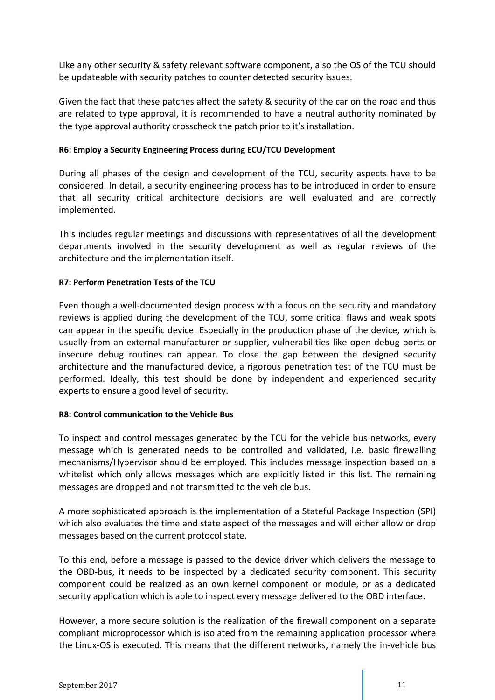Like any other security & safety relevant software component, also the OS of the TCU should be updateable with security patches to counter detected security issues.

Given the fact that these patches affect the safety & security of the car on the road and thus are related to type approval, it is recommended to have a neutral authority nominated by the type approval authority crosscheck the patch prior to it's installation.

#### <span id="page-10-0"></span>**R6: Employ a Security Engineering Process during ECU/TCU Development**

During all phases of the design and development of the TCU, security aspects have to be considered. In detail, a security engineering process has to be introduced in order to ensure that all security critical architecture decisions are well evaluated and are correctly implemented.

This includes regular meetings and discussions with representatives of all the development departments involved in the security development as well as regular reviews of the architecture and the implementation itself.

#### <span id="page-10-1"></span>**R7: Perform Penetration Tests of the TCU**

Even though a well-documented design process with a focus on the security and mandatory reviews is applied during the development of the TCU, some critical flaws and weak spots can appear in the specific device. Especially in the production phase of the device, which is usually from an external manufacturer or supplier, vulnerabilities like open debug ports or insecure debug routines can appear. To close the gap between the designed security architecture and the manufactured device, a rigorous penetration test of the TCU must be performed. Ideally, this test should be done by independent and experienced security experts to ensure a good level of security.

#### <span id="page-10-2"></span>**R8: Control communication to the Vehicle Bus**

To inspect and control messages generated by the TCU for the vehicle bus networks, every message which is generated needs to be controlled and validated, i.e. basic firewalling mechanisms/Hypervisor should be employed. This includes message inspection based on a whitelist which only allows messages which are explicitly listed in this list. The remaining messages are dropped and not transmitted to the vehicle bus.

A more sophisticated approach is the implementation of a Stateful Package Inspection (SPI) which also evaluates the time and state aspect of the messages and will either allow or drop messages based on the current protocol state.

To this end, before a message is passed to the device driver which delivers the message to the OBD-bus, it needs to be inspected by a dedicated security component. This security component could be realized as an own kernel component or module, or as a dedicated security application which is able to inspect every message delivered to the OBD interface.

However, a more secure solution is the realization of the firewall component on a separate compliant microprocessor which is isolated from the remaining application processor where the Linux-OS is executed. This means that the different networks, namely the in-vehicle bus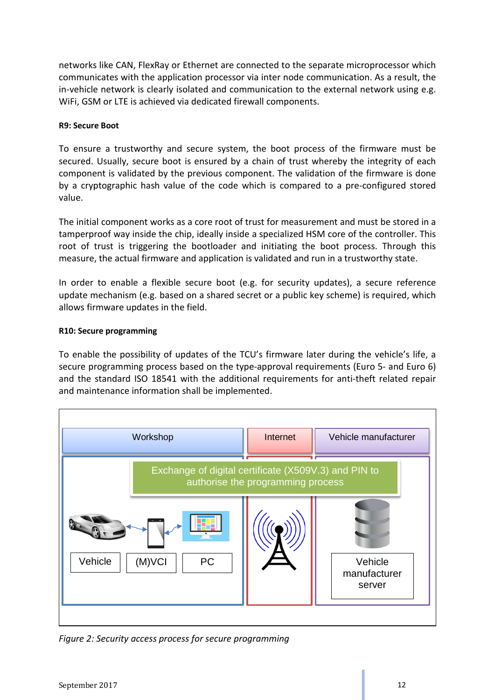networks like CAN, FlexRay or Ethernet are connected to the separate microprocessor which communicates with the application processor via inter node communication. As a result, the in-vehicle network is clearly isolated and communication to the external network using e.g. WiFi, GSM or LTE is achieved via dedicated firewall components.

#### <span id="page-11-0"></span>**R9: Secure Boot**

To ensure a trustworthy and secure system, the boot process of the firmware must be secured. Usually, secure boot is ensured by a chain of trust whereby the integrity of each component is validated by the previous component. The validation of the firmware is done by a cryptographic hash value of the code which is compared to a pre-configured stored value.

The initial component works as a core root of trust for measurement and must be stored in a tamperproof way inside the chip, ideally inside a specialized HSM core of the controller. This root of trust is triggering the bootloader and initiating the boot process. Through this measure, the actual firmware and application is validated and run in a trustworthy state.

In order to enable a flexible secure boot (e.g. for security updates), a secure reference update mechanism (e.g. based on a shared secret or a public key scheme) is required, which allows firmware updates in the field.

#### <span id="page-11-1"></span>**R10: Secure programming**

To enable the possibility of updates of the TCU's firmware later during the vehicle's life, a secure programming process based on the type-approval requirements (Euro 5- and Euro 6) and the standard ISO 18541 with the additional requirements for anti-theft related repair and maintenance information shall be implemented.



*Figure 2: Security access process for secure programming*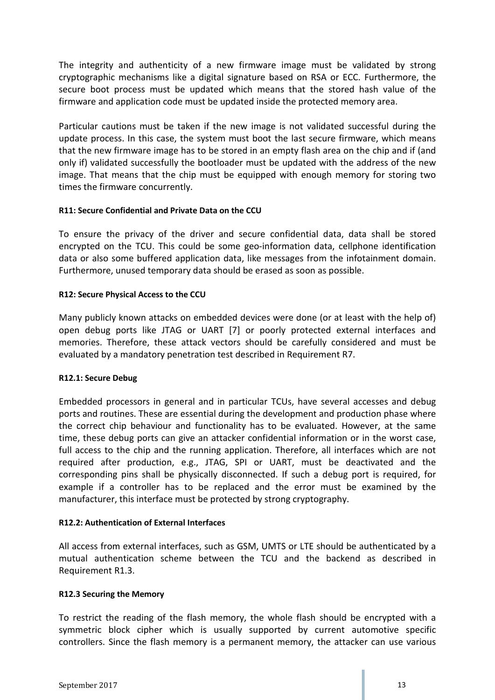The integrity and authenticity of a new firmware image must be validated by strong cryptographic mechanisms like a digital signature based on RSA or ECC. Furthermore, the secure boot process must be updated which means that the stored hash value of the firmware and application code must be updated inside the protected memory area.

Particular cautions must be taken if the new image is not validated successful during the update process. In this case, the system must boot the last secure firmware, which means that the new firmware image has to be stored in an empty flash area on the chip and if (and only if) validated successfully the bootloader must be updated with the address of the new image. That means that the chip must be equipped with enough memory for storing two times the firmware concurrently.

#### <span id="page-12-0"></span>**R11: Secure Confidential and Private Data on the CCU**

To ensure the privacy of the driver and secure confidential data, data shall be stored encrypted on the TCU. This could be some geo-information data, cellphone identification data or also some buffered application data, like messages from the infotainment domain. Furthermore, unused temporary data should be erased as soon as possible.

#### <span id="page-12-1"></span>**R12: Secure Physical Access to the CCU**

Many publicly known attacks on embedded devices were done (or at least with the help of) open debug ports like JTAG or UART [7] or poorly protected external interfaces and memories. Therefore, these attack vectors should be carefully considered and must be evaluated by a mandatory penetration test described in Requirement R7.

#### <span id="page-12-2"></span>**R12.1: Secure Debug**

Embedded processors in general and in particular TCUs, have several accesses and debug ports and routines. These are essential during the development and production phase where the correct chip behaviour and functionality has to be evaluated. However, at the same time, these debug ports can give an attacker confidential information or in the worst case, full access to the chip and the running application. Therefore, all interfaces which are not required after production, e.g., JTAG, SPI or UART, must be deactivated and the corresponding pins shall be physically disconnected. If such a debug port is required, for example if a controller has to be replaced and the error must be examined by the manufacturer, this interface must be protected by strong cryptography.

#### <span id="page-12-3"></span>**R12.2: Authentication of External Interfaces**

All access from external interfaces, such as GSM, UMTS or LTE should be authenticated by a mutual authentication scheme between the TCU and the backend as described in Requirement R1.3.

#### <span id="page-12-4"></span>**R12.3 Securing the Memory**

To restrict the reading of the flash memory, the whole flash should be encrypted with a symmetric block cipher which is usually supported by current automotive specific controllers. Since the flash memory is a permanent memory, the attacker can use various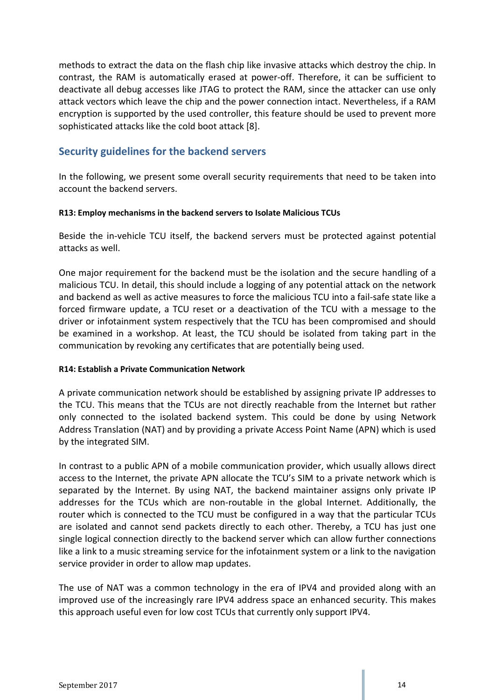methods to extract the data on the flash chip like invasive attacks which destroy the chip. In contrast, the RAM is automatically erased at power-off. Therefore, it can be sufficient to deactivate all debug accesses like JTAG to protect the RAM, since the attacker can use only attack vectors which leave the chip and the power connection intact. Nevertheless, if a RAM encryption is supported by the used controller, this feature should be used to prevent more sophisticated attacks like the cold boot attack [8].

# <span id="page-13-0"></span>**Security guidelines for the backend servers**

In the following, we present some overall security requirements that need to be taken into account the backend servers.

#### <span id="page-13-1"></span>**R13: Employ mechanisms in the backend servers to Isolate Malicious TCUs**

Beside the in-vehicle TCU itself, the backend servers must be protected against potential attacks as well.

One major requirement for the backend must be the isolation and the secure handling of a malicious TCU. In detail, this should include a logging of any potential attack on the network and backend as well as active measures to force the malicious TCU into a fail-safe state like a forced firmware update, a TCU reset or a deactivation of the TCU with a message to the driver or infotainment system respectively that the TCU has been compromised and should be examined in a workshop. At least, the TCU should be isolated from taking part in the communication by revoking any certificates that are potentially being used.

#### <span id="page-13-2"></span>**R14: Establish a Private Communication Network**

A private communication network should be established by assigning private IP addresses to the TCU. This means that the TCUs are not directly reachable from the Internet but rather only connected to the isolated backend system. This could be done by using Network Address Translation (NAT) and by providing a private Access Point Name (APN) which is used by the integrated SIM.

In contrast to a public APN of a mobile communication provider, which usually allows direct access to the Internet, the private APN allocate the TCU's SIM to a private network which is separated by the Internet. By using NAT, the backend maintainer assigns only private IP addresses for the TCUs which are non-routable in the global Internet. Additionally, the router which is connected to the TCU must be configured in a way that the particular TCUs are isolated and cannot send packets directly to each other. Thereby, a TCU has just one single logical connection directly to the backend server which can allow further connections like a link to a music streaming service for the infotainment system or a link to the navigation service provider in order to allow map updates.

The use of NAT was a common technology in the era of IPV4 and provided along with an improved use of the increasingly rare IPV4 address space an enhanced security. This makes this approach useful even for low cost TCUs that currently only support IPV4.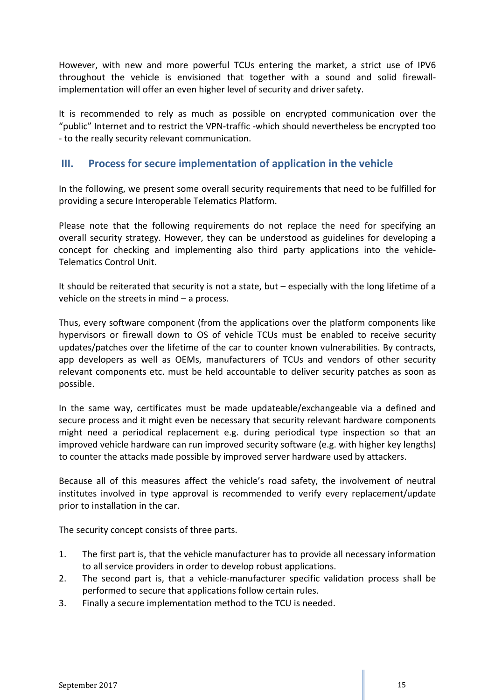However, with new and more powerful TCUs entering the market, a strict use of IPV6 throughout the vehicle is envisioned that together with a sound and solid firewallimplementation will offer an even higher level of security and driver safety.

It is recommended to rely as much as possible on encrypted communication over the "public" Internet and to restrict the VPN-traffic -which should nevertheless be encrypted too - to the really security relevant communication.

# <span id="page-14-0"></span>**III. Process for secure implementation of application in the vehicle**

In the following, we present some overall security requirements that need to be fulfilled for providing a secure Interoperable Telematics Platform.

Please note that the following requirements do not replace the need for specifying an overall security strategy. However, they can be understood as guidelines for developing a concept for checking and implementing also third party applications into the vehicle-Telematics Control Unit.

It should be reiterated that security is not a state, but – especially with the long lifetime of a vehicle on the streets in mind – a process.

Thus, every software component (from the applications over the platform components like hypervisors or firewall down to OS of vehicle TCUs must be enabled to receive security updates/patches over the lifetime of the car to counter known vulnerabilities. By contracts, app developers as well as OEMs, manufacturers of TCUs and vendors of other security relevant components etc. must be held accountable to deliver security patches as soon as possible.

In the same way, certificates must be made updateable/exchangeable via a defined and secure process and it might even be necessary that security relevant hardware components might need a periodical replacement e.g. during periodical type inspection so that an improved vehicle hardware can run improved security software (e.g. with higher key lengths) to counter the attacks made possible by improved server hardware used by attackers.

Because all of this measures affect the vehicle's road safety, the involvement of neutral institutes involved in type approval is recommended to verify every replacement/update prior to installation in the car.

The security concept consists of three parts.

- 1. The first part is, that the vehicle manufacturer has to provide all necessary information to all service providers in order to develop robust applications.
- 2. The second part is, that a vehicle-manufacturer specific validation process shall be performed to secure that applications follow certain rules.
- 3. Finally a secure implementation method to the TCU is needed.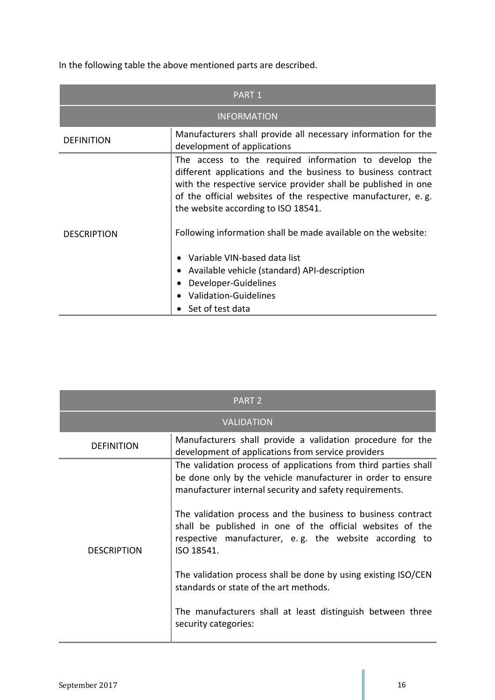In the following table the above mentioned parts are described.

|                    | PART 1                                                                                                                                                                                                                                                                                          |  |  |  |
|--------------------|-------------------------------------------------------------------------------------------------------------------------------------------------------------------------------------------------------------------------------------------------------------------------------------------------|--|--|--|
|                    | <b>INFORMATION</b>                                                                                                                                                                                                                                                                              |  |  |  |
| <b>DEFINITION</b>  | Manufacturers shall provide all necessary information for the<br>development of applications                                                                                                                                                                                                    |  |  |  |
|                    | The access to the required information to develop the<br>different applications and the business to business contract<br>with the respective service provider shall be published in one<br>of the official websites of the respective manufacturer, e.g.<br>the website according to ISO 18541. |  |  |  |
| <b>DESCRIPTION</b> | Following information shall be made available on the website:                                                                                                                                                                                                                                   |  |  |  |
|                    | Variable VIN-based data list                                                                                                                                                                                                                                                                    |  |  |  |
|                    | Available vehicle (standard) API-description                                                                                                                                                                                                                                                    |  |  |  |
|                    | Developer-Guidelines                                                                                                                                                                                                                                                                            |  |  |  |
|                    | <b>Validation-Guidelines</b>                                                                                                                                                                                                                                                                    |  |  |  |
|                    | Set of test data                                                                                                                                                                                                                                                                                |  |  |  |

|                    | PART <sub>2</sub>                                                                                                                                                                                 |
|--------------------|---------------------------------------------------------------------------------------------------------------------------------------------------------------------------------------------------|
|                    | <b>VALIDATION</b>                                                                                                                                                                                 |
| <b>DEFINITION</b>  | Manufacturers shall provide a validation procedure for the<br>development of applications from service providers                                                                                  |
|                    | The validation process of applications from third parties shall<br>be done only by the vehicle manufacturer in order to ensure<br>manufacturer internal security and safety requirements.         |
| <b>DESCRIPTION</b> | The validation process and the business to business contract<br>shall be published in one of the official websites of the<br>respective manufacturer, e.g. the website according to<br>ISO 18541. |
|                    | The validation process shall be done by using existing ISO/CEN<br>standards or state of the art methods.                                                                                          |
|                    | The manufacturers shall at least distinguish between three<br>security categories:                                                                                                                |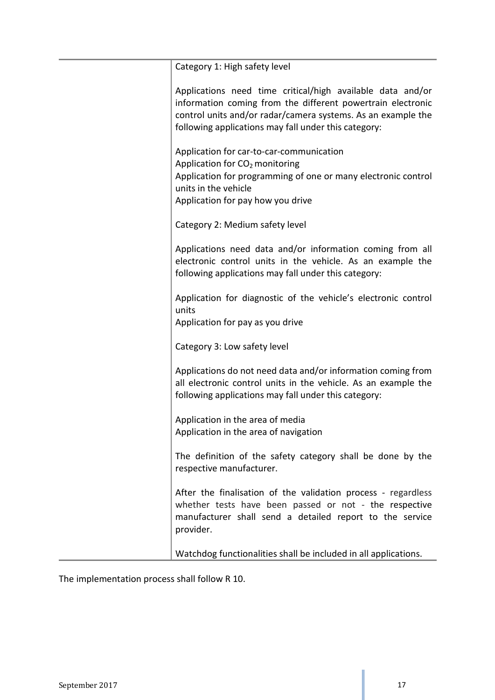| Category 1: High safety level                                                                                                                                                                                                                     |
|---------------------------------------------------------------------------------------------------------------------------------------------------------------------------------------------------------------------------------------------------|
| Applications need time critical/high available data and/or<br>information coming from the different powertrain electronic<br>control units and/or radar/camera systems. As an example the<br>following applications may fall under this category: |
| Application for car-to-car-communication<br>Application for CO <sub>2</sub> monitoring<br>Application for programming of one or many electronic control<br>units in the vehicle<br>Application for pay how you drive                              |
| Category 2: Medium safety level                                                                                                                                                                                                                   |
| Applications need data and/or information coming from all<br>electronic control units in the vehicle. As an example the<br>following applications may fall under this category:                                                                   |
| Application for diagnostic of the vehicle's electronic control<br>units<br>Application for pay as you drive                                                                                                                                       |
| Category 3: Low safety level                                                                                                                                                                                                                      |
| Applications do not need data and/or information coming from<br>all electronic control units in the vehicle. As an example the<br>following applications may fall under this category:                                                            |
| Application in the area of media<br>Application in the area of navigation                                                                                                                                                                         |
| The definition of the safety category shall be done by the<br>respective manufacturer.                                                                                                                                                            |
| After the finalisation of the validation process - regardless<br>whether tests have been passed or not - the respective<br>manufacturer shall send a detailed report to the service<br>provider.                                                  |
| Watchdog functionalities shall be included in all applications.                                                                                                                                                                                   |

The implementation process shall follow R 10.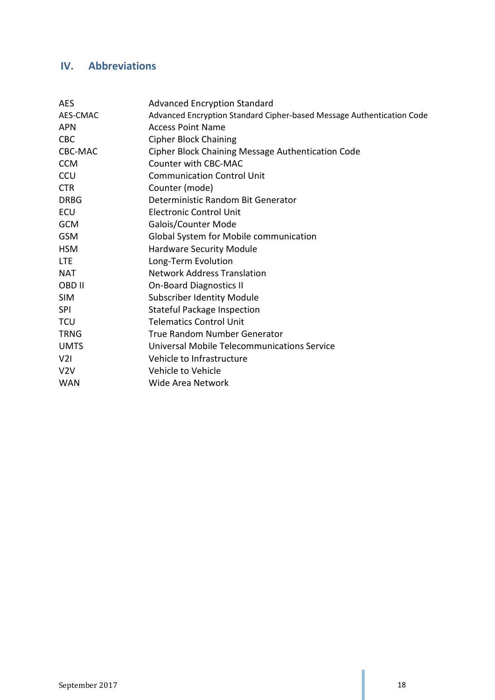# <span id="page-17-0"></span>**IV. Abbreviations**

| <b>AES</b>     | <b>Advanced Encryption Standard</b>                                   |
|----------------|-----------------------------------------------------------------------|
| AES-CMAC       | Advanced Encryption Standard Cipher-based Message Authentication Code |
| <b>APN</b>     | <b>Access Point Name</b>                                              |
| <b>CBC</b>     | <b>Cipher Block Chaining</b>                                          |
| <b>CBC-MAC</b> | Cipher Block Chaining Message Authentication Code                     |
| <b>CCM</b>     | Counter with CBC-MAC                                                  |
| <b>CCU</b>     | <b>Communication Control Unit</b>                                     |
| <b>CTR</b>     | Counter (mode)                                                        |
| <b>DRBG</b>    | Deterministic Random Bit Generator                                    |
| ECU            | <b>Electronic Control Unit</b>                                        |
| <b>GCM</b>     | Galois/Counter Mode                                                   |
| <b>GSM</b>     | Global System for Mobile communication                                |
| <b>HSM</b>     | <b>Hardware Security Module</b>                                       |
| <b>LTE</b>     | Long-Term Evolution                                                   |
| <b>NAT</b>     | <b>Network Address Translation</b>                                    |
| OBD II         | <b>On-Board Diagnostics II</b>                                        |
| <b>SIM</b>     | <b>Subscriber Identity Module</b>                                     |
| <b>SPI</b>     | <b>Stateful Package Inspection</b>                                    |
| <b>TCU</b>     | <b>Telematics Control Unit</b>                                        |
| <b>TRNG</b>    | True Random Number Generator                                          |
| <b>UMTS</b>    | Universal Mobile Telecommunications Service                           |
| V2I            | Vehicle to Infrastructure                                             |
| V2V            | Vehicle to Vehicle                                                    |
| <b>WAN</b>     | Wide Area Network                                                     |
|                |                                                                       |